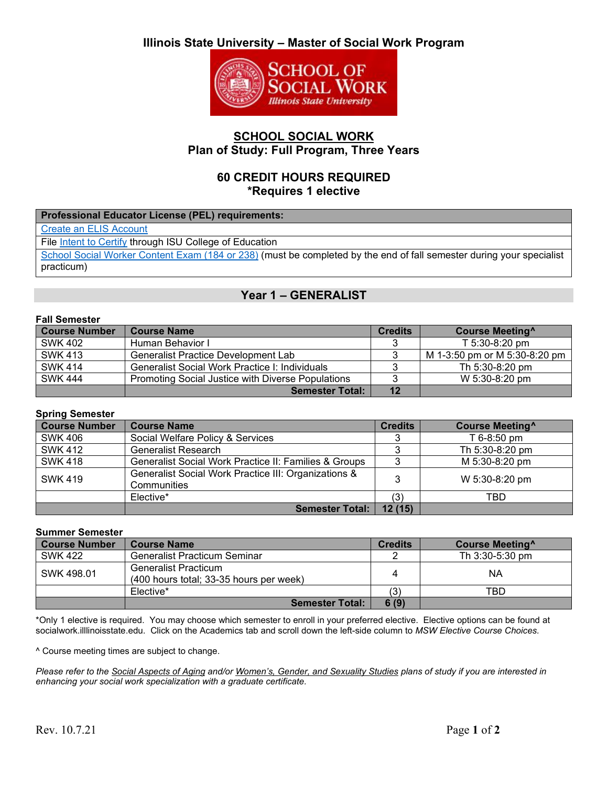# **Illinois State University – Master of Social Work Program**



### **SCHOOL SOCIAL WORK Plan of Study: Full Program, Three Years**

### **60 CREDIT HOURS REQUIRED \*Requires 1 elective**

| Professional Educator License (PEL) requirements:                                                                    |
|----------------------------------------------------------------------------------------------------------------------|
| <b>Create an ELIS Account</b>                                                                                        |
| File Intent to Certify through ISU College of Education                                                              |
| School Social Worker Content Exam (184 or 238) (must be completed by the end of fall semester during your specialist |
| practicum)                                                                                                           |

## **Year 1 – GENERALIST**

### **Fall Semester**

| <b>Course Number</b> | <b>Course Name</b>                                | <b>Credits</b> | <b>Course Meeting</b>         |
|----------------------|---------------------------------------------------|----------------|-------------------------------|
| <b>SWK 402</b>       | Human Behavior I                                  |                | $T$ 5:30-8:20 pm              |
| <b>SWK 413</b>       | <b>Generalist Practice Development Lab</b>        |                | M 1-3:50 pm or M 5:30-8:20 pm |
| <b>SWK 414</b>       | Generalist Social Work Practice I: Individuals    |                | Th 5:30-8:20 pm               |
| <b>SWK 444</b>       | Promoting Social Justice with Diverse Populations |                | W 5:30-8:20 pm                |
|                      | <b>Semester Total:</b>                            | 12             |                               |

#### **Spring Semester**

| <b>Course Number</b> | <b>Course Name</b>                                                  | <b>Credits</b> | <b>Course Meeting</b> <sup>^</sup> |
|----------------------|---------------------------------------------------------------------|----------------|------------------------------------|
| <b>SWK 406</b>       | Social Welfare Policy & Services                                    | O              | T 6-8:50 pm                        |
| <b>SWK 412</b>       | <b>Generalist Research</b>                                          |                | Th 5:30-8:20 pm                    |
| <b>SWK 418</b>       | Generalist Social Work Practice II: Families & Groups               |                | M 5:30-8:20 pm                     |
| <b>SWK 419</b>       | Generalist Social Work Practice III: Organizations &<br>Communities | 3              | W 5:30-8:20 pm                     |
|                      | Elective*                                                           | (3)            | TBD                                |
|                      | <b>Semester Total:</b>                                              | 12(15)         |                                    |

#### **Summer Semester**

| <b>Course Number</b> | <b>Course Name</b>                                                     | <b>Credits</b> | <b>Course Meeting</b> |
|----------------------|------------------------------------------------------------------------|----------------|-----------------------|
| <b>SWK 422</b>       | <b>Generalist Practicum Seminar</b>                                    |                | Th 3:30-5:30 pm       |
| SWK 498.01           | <b>Generalist Practicum</b><br>(400 hours total; 33-35 hours per week) |                | ΝA                    |
|                      | Elective*                                                              | (3)            | TBD                   |
|                      | <b>Semester Total:</b>                                                 | 6(9)           |                       |

\*Only 1 elective is required. You may choose which semester to enroll in your preferred elective. Elective options can be found at socialwork.illlinoisstate.edu. Click on the Academics tab and scroll down the left-side column to *MSW Elective Course Choices.*

^ Course meeting times are subject to change.

*Please refer to the Social Aspects of Aging and/or Women's, Gender, and Sexuality Studies plans of study if you are interested in enhancing your social work specialization with a graduate certificate.*